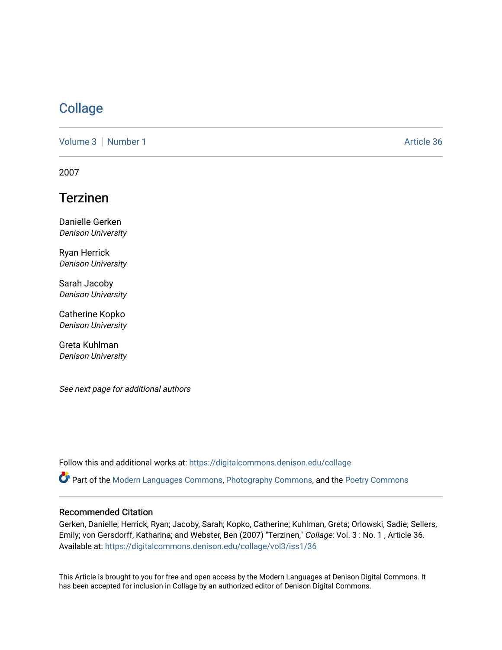## **[Collage](https://digitalcommons.denison.edu/collage)**

[Volume 3](https://digitalcommons.denison.edu/collage/vol3) | [Number 1](https://digitalcommons.denison.edu/collage/vol3/iss1) Article 36

2007

# Terzinen

Danielle Gerken Denison University

Ryan Herrick Denison University

Sarah Jacoby Denison University

Catherine Kopko Denison University

Greta Kuhlman Denison University

See next page for additional authors

Follow this and additional works at: [https://digitalcommons.denison.edu/collage](https://digitalcommons.denison.edu/collage?utm_source=digitalcommons.denison.edu%2Fcollage%2Fvol3%2Fiss1%2F36&utm_medium=PDF&utm_campaign=PDFCoverPages) 

Part of the [Modern Languages Commons,](http://network.bepress.com/hgg/discipline/1130?utm_source=digitalcommons.denison.edu%2Fcollage%2Fvol3%2Fiss1%2F36&utm_medium=PDF&utm_campaign=PDFCoverPages) [Photography Commons](http://network.bepress.com/hgg/discipline/1142?utm_source=digitalcommons.denison.edu%2Fcollage%2Fvol3%2Fiss1%2F36&utm_medium=PDF&utm_campaign=PDFCoverPages), and the [Poetry Commons](http://network.bepress.com/hgg/discipline/1153?utm_source=digitalcommons.denison.edu%2Fcollage%2Fvol3%2Fiss1%2F36&utm_medium=PDF&utm_campaign=PDFCoverPages)

### Recommended Citation

Gerken, Danielle; Herrick, Ryan; Jacoby, Sarah; Kopko, Catherine; Kuhlman, Greta; Orlowski, Sadie; Sellers, Emily; von Gersdorff, Katharina; and Webster, Ben (2007) "Terzinen," Collage: Vol. 3 : No. 1 , Article 36. Available at: [https://digitalcommons.denison.edu/collage/vol3/iss1/36](https://digitalcommons.denison.edu/collage/vol3/iss1/36?utm_source=digitalcommons.denison.edu%2Fcollage%2Fvol3%2Fiss1%2F36&utm_medium=PDF&utm_campaign=PDFCoverPages)

This Article is brought to you for free and open access by the Modern Languages at Denison Digital Commons. It has been accepted for inclusion in Collage by an authorized editor of Denison Digital Commons.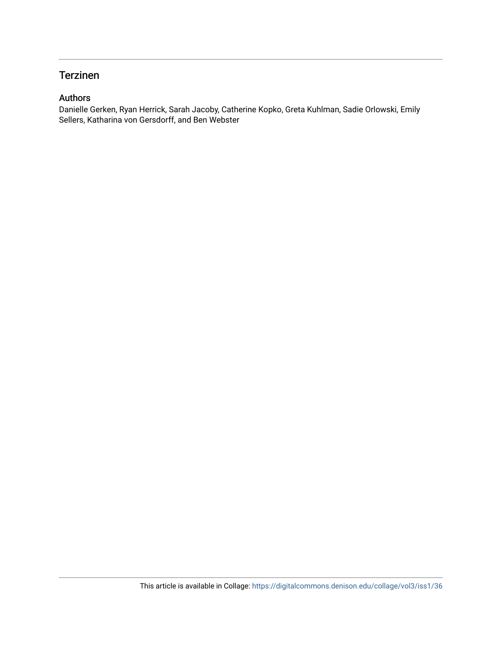## Terzinen

### Authors

Danielle Gerken, Ryan Herrick, Sarah Jacoby, Catherine Kopko, Greta Kuhlman, Sadie Orlowski, Emily Sellers, Katharina von Gersdorff, and Ben Webster